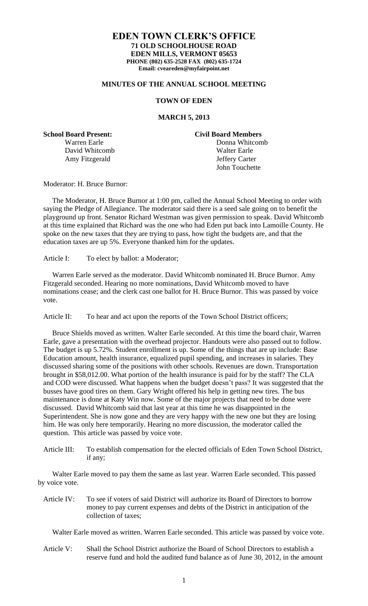## **EDEN TOWN CLERK'S OFFICE 71 OLD SCHOOLHOUSE ROAD EDEN MILLS, VERMONT 05653 PHONE (802) 635-2528 FAX (802) 635-1724 Email: cveareden@myfairpoint.net**

## **MINUTES OF THE ANNUAL SCHOOL MEETING**

## **TOWN OF EDEN**

## **MARCH 5, 2013**

**School Board Present: Civil Board Members**

Warren Earle **Donna Whitcomb** David Whitcomb Walter Earle Amy Fitzgerald Jeffery Carter John Touchette

Moderator: H. Bruce Burnor:

 The Moderator, H. Bruce Burnor at 1:00 pm, called the Annual School Meeting to order with saying the Pledge of Allegiance. The moderator said there is a seed sale going on to benefit the playground up front. Senator Richard Westman was given permission to speak. David Whitcomb at this time explained that Richard was the one who had Eden put back into Lamoille County. He spoke on the new taxes that they are trying to pass, how tight the budgets are, and that the education taxes are up 5%. Everyone thanked him for the updates.

Article I: To elect by ballot: a Moderator;

 Warren Earle served as the moderator. David Whitcomb nominated H. Bruce Burnor. Amy Fitzgerald seconded. Hearing no more nominations, David Whitcomb moved to have nominations cease; and the clerk cast one ballot for H. Bruce Burnor. This was passed by voice vote.

Article II: To hear and act upon the reports of the Town School District officers;

 Bruce Shields moved as written. Walter Earle seconded. At this time the board chair, Warren Earle, gave a presentation with the overhead projector. Handouts were also passed out to follow. The budget is up 5.72%. Student enrollment is up. Some of the things that are up include: Base Education amount, health insurance, equalized pupil spending, and increases in salaries. They discussed sharing some of the positions with other schools. Revenues are down. Transportation brought in \$58,012.00. What portion of the health insurance is paid for by the staff? The CLA and COD were discussed. What happens when the budget doesn't pass? It was suggested that the busses have good tires on them. Gary Wright offered his help in getting new tires. The bus maintenance is done at Katy Win now. Some of the major projects that need to be done were discussed. David Whitcomb said that last year at this time he was disappointed in the Superintendent. She is now gone and they are very happy with the new one but they are losing him. He was only here temporarily. Hearing no more discussion, the moderator called the question. This article was passed by voice vote.

Article III: To establish compensation for the elected officials of Eden Town School District, if any;

 Walter Earle moved to pay them the same as last year. Warren Earle seconded. This passed by voice vote.

Article IV: To see if voters of said District will authorize its Board of Directors to borrow money to pay current expenses and debts of the District in anticipation of the collection of taxes;

Walter Earle moved as written. Warren Earle seconded. This article was passed by voice vote.

Article V: Shall the School District authorize the Board of School Directors to establish a reserve fund and hold the audited fund balance as of June 30, 2012, in the amount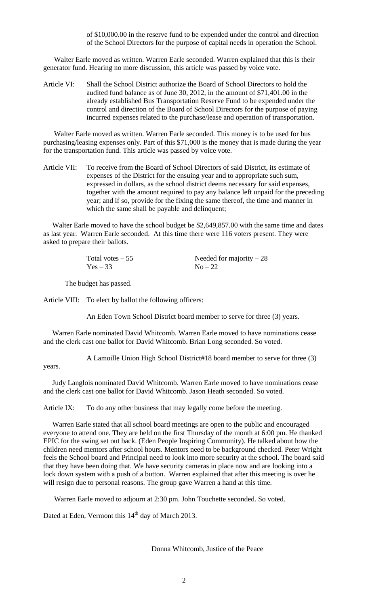of \$10,000.00 in the reserve fund to be expended under the control and direction of the School Directors for the purpose of capital needs in operation the School.

Walter Earle moved as written. Warren Earle seconded. Warren explained that this is their generator fund. Hearing no more discussion, this article was passed by voice vote.

Article VI: Shall the School District authorize the Board of School Directors to hold the audited fund balance as of June 30, 2012, in the amount of \$71,401.00 in the already established Bus Transportation Reserve Fund to be expended under the control and direction of the Board of School Directors for the purpose of paying incurred expenses related to the purchase/lease and operation of transportation.

Walter Earle moved as written. Warren Earle seconded. This money is to be used for bus purchasing/leasing expenses only. Part of this \$71,000 is the money that is made during the year for the transportation fund. This article was passed by voice vote.

Article VII: To receive from the Board of School Directors of said District, its estimate of expenses of the District for the ensuing year and to appropriate such sum, expressed in dollars, as the school district deems necessary for said expenses, together with the amount required to pay any balance left unpaid for the preceding year; and if so, provide for the fixing the same thereof, the time and manner in which the same shall be payable and delinquent;

 Walter Earle moved to have the school budget be \$2,649,857.00 with the same time and dates as last year. Warren Earle seconded. At this time there were 116 voters present. They were asked to prepare their ballots.

| Total votes $-55$ | Needed for majority $-28$ |
|-------------------|---------------------------|
| $Yes - 33$        | $No-22$                   |

The budget has passed.

Article VIII: To elect by ballot the following officers:

An Eden Town School District board member to serve for three (3) years.

 Warren Earle nominated David Whitcomb. Warren Earle moved to have nominations cease and the clerk cast one ballot for David Whitcomb. Brian Long seconded. So voted.

A Lamoille Union High School District#18 board member to serve for three (3)

years.

 Judy Langlois nominated David Whitcomb. Warren Earle moved to have nominations cease and the clerk cast one ballot for David Whitcomb. Jason Heath seconded. So voted.

Article IX: To do any other business that may legally come before the meeting.

 Warren Earle stated that all school board meetings are open to the public and encouraged everyone to attend one. They are held on the first Thursday of the month at 6:00 pm. He thanked EPIC for the swing set out back. (Eden People Inspiring Community). He talked about how the children need mentors after school hours. Mentors need to be background checked. Peter Wright feels the School board and Principal need to look into more security at the school. The board said that they have been doing that. We have security cameras in place now and are looking into a lock down system with a push of a button. Warren explained that after this meeting is over he will resign due to personal reasons. The group gave Warren a hand at this time.

Warren Earle moved to adjourn at 2:30 pm. John Touchette seconded. So voted.

Dated at Eden, Vermont this 14<sup>th</sup> day of March 2013.

l

Donna Whitcomb, Justice of the Peace